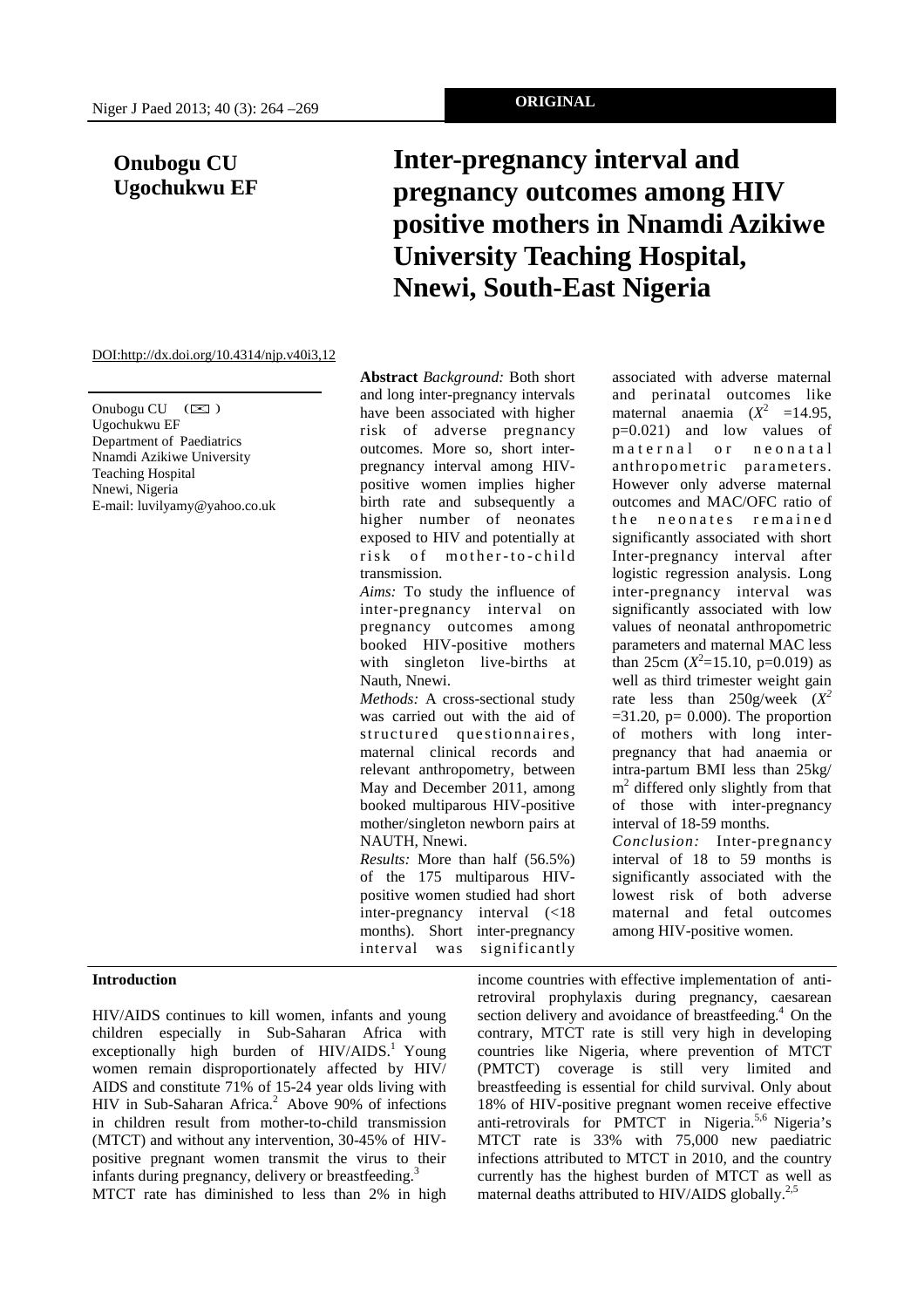## **Onubogu CU Ugochukwu EF**

# **Inter-pregnancy interval and pregnancy outcomes among HIV positive mothers in Nnamdi Azikiwe University Teaching Hospital, Nnewi, South-East Nigeria**

#### DOI:http://dx.doi.org/10.4314/njp.v40i3,12

Onubogu CU  $(\boxtimes)$ Ugochukwu EF Department of Paediatrics Nnamdi Azikiwe University Teaching Hospital Nnewi, Nigeria E-mail: luvilyamy@yahoo.co.uk

**Introduction** 

**Abstract** *Background:* Both short and long inter-pregnancy intervals have been associated with higher risk of adverse pregnancy outcomes. More so, short interpregnancy interval among HIVpositive women implies higher birth rate and subsequently a higher number of neonates exposed to HIV and potentially at risk of mother-to-child transmission.

*Aims:* To study the influence of inter-pregnancy interval on pregnancy outcomes among booked HIV-positive mothers with singleton live-births at Nauth, Nnewi.

*Methods:* A cross-sectional study was carried out with the aid of structured questionnaires, maternal clinical records and relevant anthropometry, between May and December 2011, among booked multiparous HIV-positive mother/singleton newborn pairs at NAUTH, Nnewi.

*Results:* More than half (56.5%) of the 175 multiparous HIVpositive women studied had short inter-pregnancy interval (<18 months). Short inter-pregnancy interval was significantly

associated with adverse maternal and perinatal outcomes like maternal anaemia  $(X^2 \quad =14.95)$ , p=0.021) and low values of maternal or neonatal anthropometric parameters. However only adverse maternal outcomes and MAC/OFC ratio of the neonates remained significantly associated with short Inter-pregnancy interval after logistic regression analysis. Long inter-pregnancy interval was significantly associated with low values of neonatal anthropometric parameters and maternal MAC less than  $25cm (X^2=15.10, p=0.019)$  as well as third trimester weight gain rate less than  $250$ g/week  $(X^2)$  $=31.20$ ,  $p = 0.000$ ). The proportion of mothers with long interpregnancy that had anaemia or intra-partum BMI less than 25kg/ m<sup>2</sup> differed only slightly from that of those with inter-pregnancy interval of 18-59 months.

*Conclusion:* Inter-pregnancy interval of 18 to 59 months is significantly associated with the lowest risk of both adverse maternal and fetal outcomes among HIV-positive women.

HIV/AIDS continues to kill women, infants and young children especially in Sub-Saharan Africa with exceptionally high burden of  $HIV/ALDS$ <sup>1</sup> Young women remain disproportionately affected by HIV/ AIDS and constitute 71% of 15-24 year olds living with HIV in Sub-Saharan Africa.<sup>2</sup> Above 90% of infections in children result from mother-to-child transmission (MTCT) and without any intervention, 30-45% of HIVpositive pregnant women transmit the virus to their infants during pregnancy, delivery or breastfeeding.<sup>3</sup>

MTCT rate has diminished to less than 2% in high

income countries with effective implementation of antiretroviral prophylaxis during pregnancy, caesarean section delivery and avoidance of breastfeeding. $4$  On the contrary, MTCT rate is still very high in developing countries like Nigeria, where prevention of MTCT (PMTCT) coverage is still very limited and breastfeeding is essential for child survival. Only about 18% of HIV-positive pregnant women receive effective anti-retrovirals for PMTCT in Nigeria.5,6 Nigeria's MTCT rate is 33% with 75,000 new paediatric infections attributed to MTCT in 2010, and the country currently has the highest burden of MTCT as well as maternal deaths attributed to HIV/AIDS globally.<sup>2,5</sup>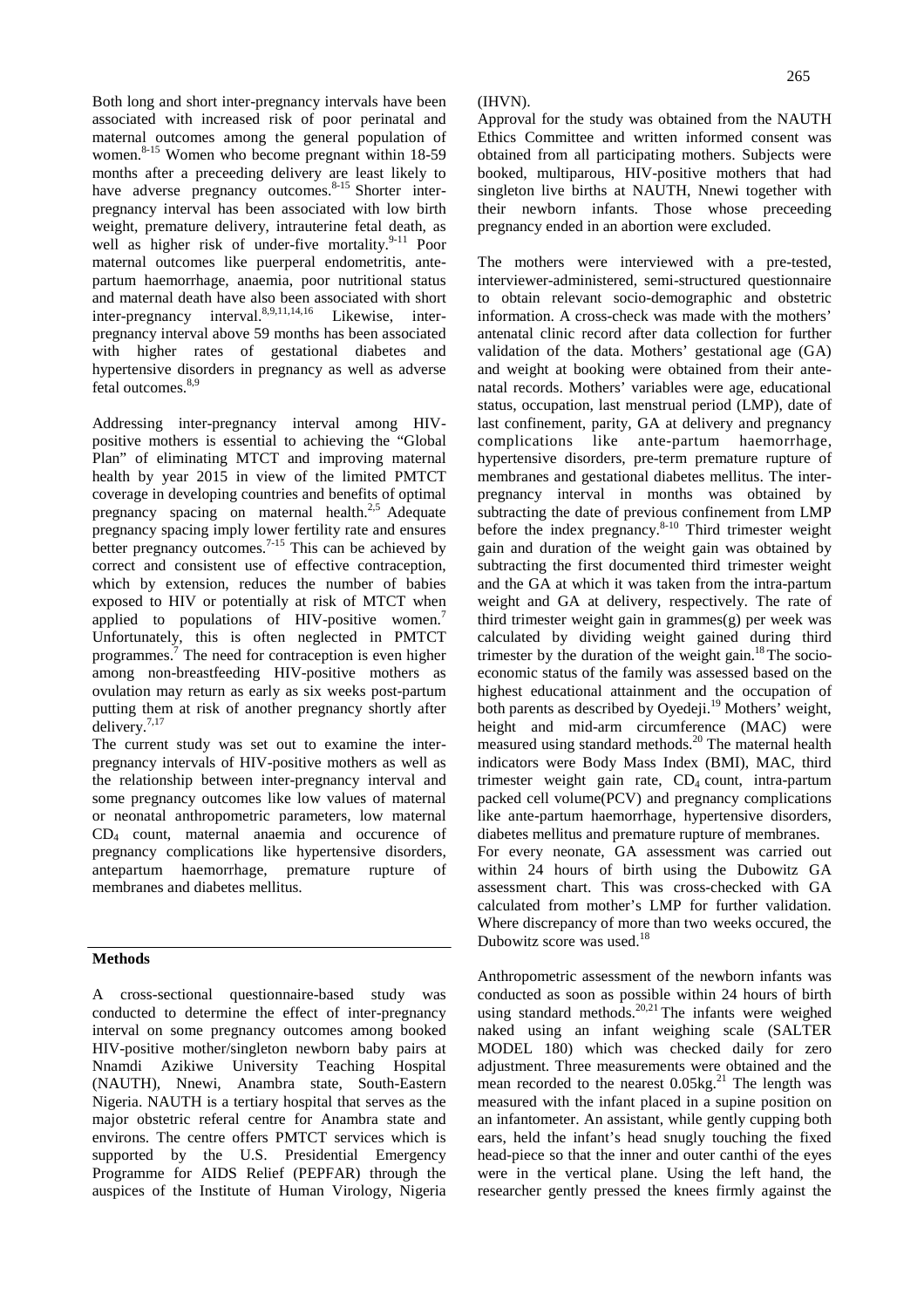Both long and short inter-pregnancy intervals have been associated with increased risk of poor perinatal and maternal outcomes among the general population of women.<sup>8-15</sup> Women who become pregnant within 18-59 months after a preceeding delivery are least likely to have adverse pregnancy outcomes.<sup>8-15</sup> Shorter interpregnancy interval has been associated with low birth weight, premature delivery, intrauterine fetal death, as well as higher risk of under-five mortality.<sup>9-11</sup> Poor maternal outcomes like puerperal endometritis, antepartum haemorrhage, anaemia, poor nutritional status and maternal death have also been associated with short inter-pregnancy interval.<sup>8,9,11,14,16</sup> Likewise, interpregnancy interval above 59 months has been associated with higher rates of gestational diabetes and hypertensive disorders in pregnancy as well as adverse fetal outcomes.<sup>8,9</sup>

Addressing inter-pregnancy interval among HIVpositive mothers is essential to achieving the "Global Plan" of eliminating MTCT and improving maternal health by year 2015 in view of the limited PMTCT coverage in developing countries and benefits of optimal pregnancy spacing on maternal health.<sup>2,5</sup> Adequate pregnancy spacing imply lower fertility rate and ensures better pregnancy outcomes.<sup>7-15</sup> This can be achieved by correct and consistent use of effective contraception, which by extension, reduces the number of babies exposed to HIV or potentially at risk of MTCT when applied to populations of HIV-positive women.<sup>7</sup> Unfortunately, this is often neglected in PMTCT programmes.<sup>7</sup> The need for contraception is even higher among non-breastfeeding HIV-positive mothers as ovulation may return as early as six weeks post-partum putting them at risk of another pregnancy shortly after delivery.7,17

The current study was set out to examine the interpregnancy intervals of HIV-positive mothers as well as the relationship between inter-pregnancy interval and some pregnancy outcomes like low values of maternal or neonatal anthropometric parameters, low maternal CD4 count, maternal anaemia and occurence of pregnancy complications like hypertensive disorders, antepartum haemorrhage, premature rupture of membranes and diabetes mellitus.

### **Methods**

A cross-sectional questionnaire-based study was conducted to determine the effect of inter-pregnancy interval on some pregnancy outcomes among booked HIV-positive mother/singleton newborn baby pairs at Nnamdi Azikiwe University Teaching Hospital (NAUTH), Nnewi, Anambra state, South-Eastern Nigeria. NAUTH is a tertiary hospital that serves as the major obstetric referal centre for Anambra state and environs. The centre offers PMTCT services which is supported by the U.S. Presidential Emergency Programme for AIDS Relief (PEPFAR) through the auspices of the Institute of Human Virology, Nigeria (IHVN).

Approval for the study was obtained from the NAUTH Ethics Committee and written informed consent was obtained from all participating mothers. Subjects were booked, multiparous, HIV-positive mothers that had singleton live births at NAUTH, Nnewi together with their newborn infants. Those whose preceeding pregnancy ended in an abortion were excluded.

The mothers were interviewed with a pre-tested, interviewer-administered, semi-structured questionnaire to obtain relevant socio-demographic and obstetric information. A cross-check was made with the mothers' antenatal clinic record after data collection for further validation of the data. Mothers' gestational age (GA) and weight at booking were obtained from their antenatal records. Mothers' variables were age, educational status, occupation, last menstrual period (LMP), date of last confinement, parity, GA at delivery and pregnancy complications like ante-partum haemorrhage, hypertensive disorders, pre-term premature rupture of membranes and gestational diabetes mellitus. The interpregnancy interval in months was obtained by subtracting the date of previous confinement from LMP before the index pregnancy.<sup>8-10</sup> Third trimester weight gain and duration of the weight gain was obtained by subtracting the first documented third trimester weight and the GA at which it was taken from the intra-partum weight and GA at delivery, respectively. The rate of third trimester weight gain in grammes(g) per week was calculated by dividing weight gained during third trimester by the duration of the weight gain.<sup>18</sup>The socioeconomic status of the family was assessed based on the highest educational attainment and the occupation of both parents as described by Oyedeji.<sup>19</sup> Mothers' weight, height and mid-arm circumference (MAC) were measured using standard methods.<sup>20</sup> The maternal health indicators were Body Mass Index (BMI), MAC, third trimester weight gain rate,  $CD_4$  count, intra-partum packed cell volume(PCV) and pregnancy complications like ante-partum haemorrhage, hypertensive disorders, diabetes mellitus and premature rupture of membranes. For every neonate, GA assessment was carried out within 24 hours of birth using the Dubowitz GA assessment chart. This was cross-checked with GA calculated from mother's LMP for further validation. Where discrepancy of more than two weeks occured, the Dubowitz score was used.<sup>18</sup>

Anthropometric assessment of the newborn infants was conducted as soon as possible within 24 hours of birth using standard methods.<sup>20,21</sup> The infants were weighed naked using an infant weighing scale (SALTER MODEL 180) which was checked daily for zero adjustment. Three measurements were obtained and the mean recorded to the nearest  $0.05 \text{kg}$ <sup>21</sup>. The length was measured with the infant placed in a supine position on an infantometer. An assistant, while gently cupping both ears, held the infant's head snugly touching the fixed head-piece so that the inner and outer canthi of the eyes were in the vertical plane. Using the left hand, the researcher gently pressed the knees firmly against the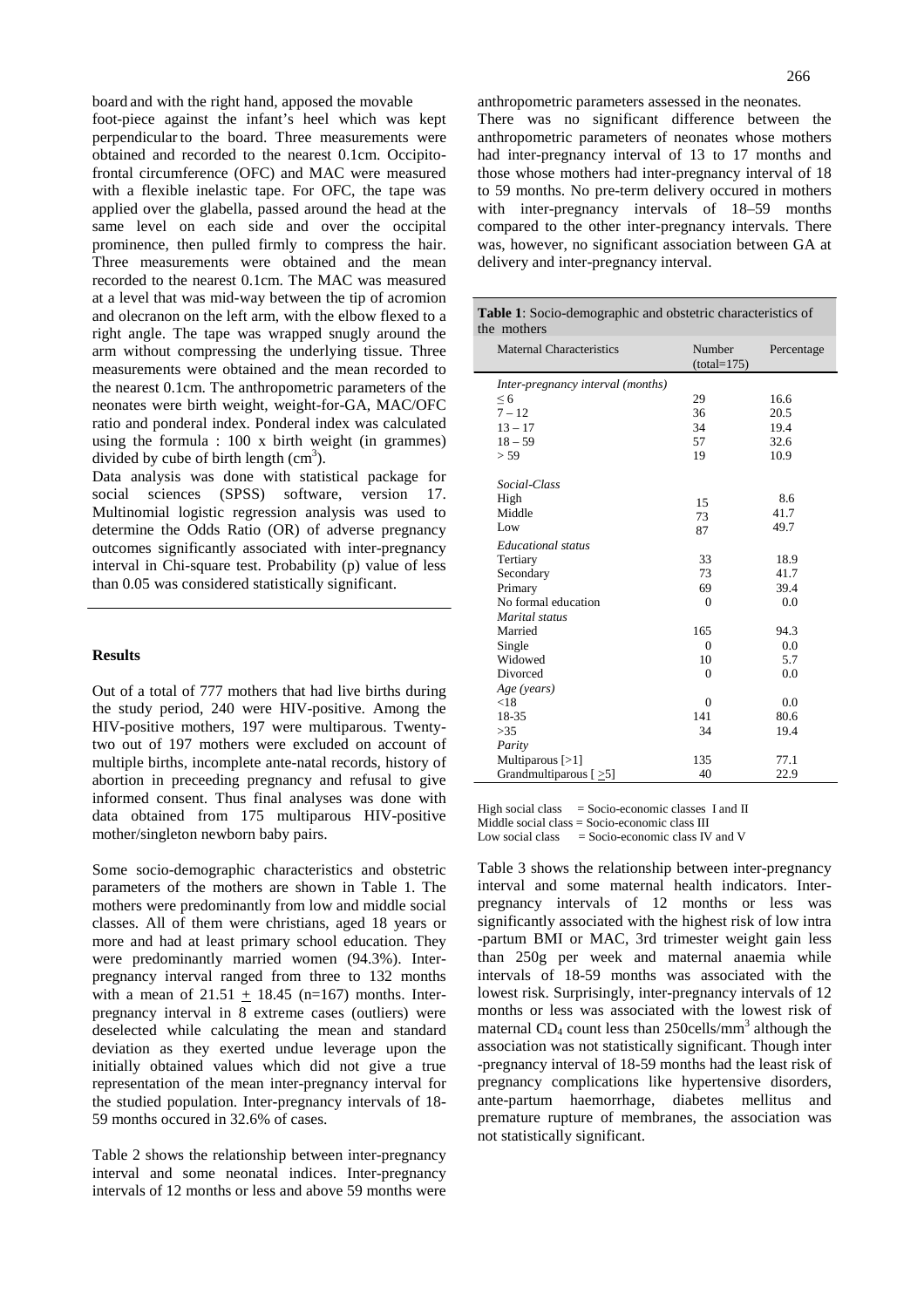board and with the right hand, apposed the movable

foot-piece against the infant's heel which was kept perpendicular to the board. Three measurements were obtained and recorded to the nearest 0.1cm. Occipitofrontal circumference (OFC) and MAC were measured with a flexible inelastic tape. For OFC, the tape was applied over the glabella, passed around the head at the same level on each side and over the occipital prominence, then pulled firmly to compress the hair. Three measurements were obtained and the mean recorded to the nearest 0.1cm. The MAC was measured at a level that was mid-way between the tip of acromion and olecranon on the left arm, with the elbow flexed to a right angle. The tape was wrapped snugly around the arm without compressing the underlying tissue. Three measurements were obtained and the mean recorded to the nearest 0.1cm. The anthropometric parameters of the neonates were birth weight, weight-for-GA, MAC/OFC ratio and ponderal index. Ponderal index was calculated using the formula : 100 x birth weight (in grammes) divided by cube of birth length  $(cm<sup>3</sup>)$ .

Data analysis was done with statistical package for social sciences (SPSS) software, version 17. Multinomial logistic regression analysis was used to determine the Odds Ratio (OR) of adverse pregnancy outcomes significantly associated with inter-pregnancy interval in Chi-square test. Probability (p) value of less than 0.05 was considered statistically significant.

#### **Results**

Out of a total of 777 mothers that had live births during the study period, 240 were HIV-positive. Among the HIV-positive mothers, 197 were multiparous. Twentytwo out of 197 mothers were excluded on account of multiple births, incomplete ante-natal records, history of abortion in preceeding pregnancy and refusal to give informed consent. Thus final analyses was done with data obtained from 175 multiparous HIV-positive mother/singleton newborn baby pairs.

Some socio-demographic characteristics and obstetric parameters of the mothers are shown in Table 1. The mothers were predominantly from low and middle social classes. All of them were christians, aged 18 years or more and had at least primary school education. They were predominantly married women (94.3%). Interpregnancy interval ranged from three to 132 months with a mean of  $21.51 + 18.45$  (n=167) months. Interpregnancy interval in 8 extreme cases (outliers) were deselected while calculating the mean and standard deviation as they exerted undue leverage upon the initially obtained values which did not give a true representation of the mean inter-pregnancy interval for the studied population. Inter-pregnancy intervals of 18- 59 months occured in 32.6% of cases.

Table 2 shows the relationship between inter-pregnancy interval and some neonatal indices. Inter-pregnancy intervals of 12 months or less and above 59 months were

anthropometric parameters assessed in the neonates. There was no significant difference between the anthropometric parameters of neonates whose mothers had inter-pregnancy interval of 13 to 17 months and those whose mothers had inter-pregnancy interval of 18 to 59 months. No pre-term delivery occured in mothers with inter-pregnancy intervals of 18–59 months compared to the other inter-pregnancy intervals. There was, however, no significant association between GA at delivery and inter-pregnancy interval.

| Maternal Characteristics          | Number<br>$(total=175)$ | Percentage |  |  |
|-----------------------------------|-------------------------|------------|--|--|
| Inter-pregnancy interval (months) |                         |            |  |  |
| $\leq 6$                          | 29                      | 16.6       |  |  |
| $7 - 12$                          | 36                      | 20.5       |  |  |
| $13 - 17$                         | 34                      | 19.4       |  |  |
| $18 - 59$                         | 57                      | 32.6       |  |  |
| > 59                              | 19                      | 10.9       |  |  |

| $10 - 37$                           | JI.            | 34.U |  |
|-------------------------------------|----------------|------|--|
| > 59                                | 19             | 10.9 |  |
|                                     |                |      |  |
| Social-Class                        |                |      |  |
| High                                | 15             | 8.6  |  |
| Middle                              | 73             | 41.7 |  |
| Low                                 | 87             | 49.7 |  |
| Educational status                  |                |      |  |
| Tertiary                            | 33             | 18.9 |  |
| Secondary                           | 73             | 41.7 |  |
| Primary                             | 69             | 39.4 |  |
| No formal education                 | $\mathbf{0}$   | 0.0  |  |
| Marital status                      |                |      |  |
| Married                             | 165            | 94.3 |  |
| Single                              | $\overline{0}$ | 0.0  |  |
| Widowed                             | 10             | 5.7  |  |
| Divorced                            | $\mathbf{0}$   | 0.0  |  |
| Age (years)                         |                |      |  |
| < 18                                | $\mathbf{0}$   | 0.0  |  |
| 18-35                               | 141            | 80.6 |  |
| >35                                 | 34             | 19.4 |  |
| Parity                              |                |      |  |
| Multiparous $[>1]$                  | 135            | 77.1 |  |
| Grandmultiparous $\left[ >5\right]$ | 40             | 22.9 |  |

High social class  $=$  Socio-economic classes I and II Middle social class = Socio-economic class III Low social class  $=$  Socio-economic class IV and V

Table 3 shows the relationship between inter-pregnancy interval and some maternal health indicators. Interpregnancy intervals of 12 months or less was significantly associated with the highest risk of low intra -partum BMI or MAC, 3rd trimester weight gain less than 250g per week and maternal anaemia while intervals of 18-59 months was associated with the lowest risk. Surprisingly, inter-pregnancy intervals of 12 months or less was associated with the lowest risk of maternal CD<sub>4</sub> count less than 250cells/mm<sup>3</sup> although the association was not statistically significant. Though inter -pregnancy interval of 18-59 months had the least risk of pregnancy complications like hypertensive disorders, ante-partum haemorrhage, diabetes mellitus and premature rupture of membranes, the association was not statistically significant.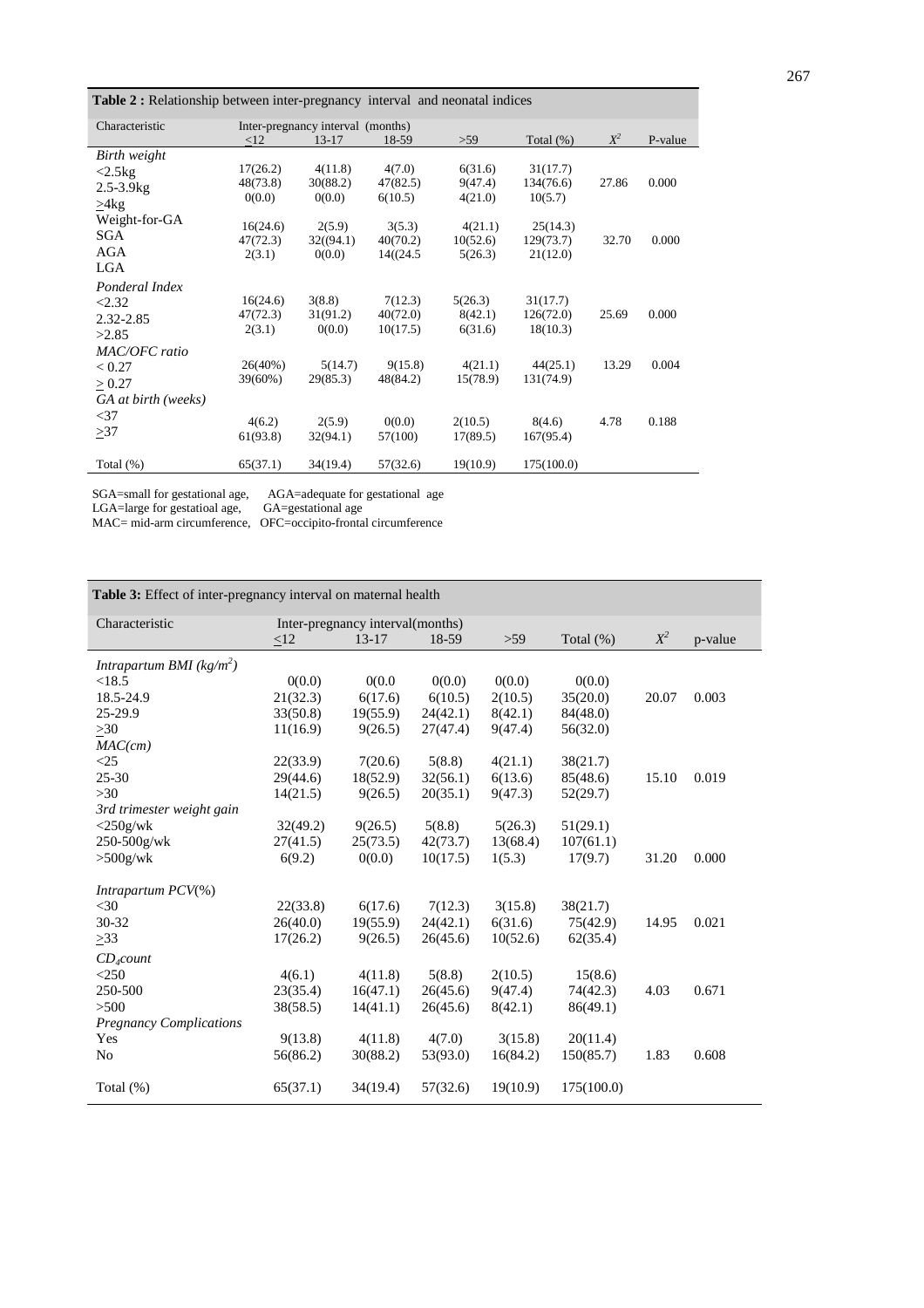**Table 2 :** Relationship between inter-pregnancy interval and neonatal indices

| Characteristic      | Inter-pregnancy interval (months) |                    |                   |                     |                     |       |         |
|---------------------|-----------------------------------|--------------------|-------------------|---------------------|---------------------|-------|---------|
|                     | <12                               | $13 - 17$          | 18-59             | >59                 | Total $(\%)$        | $X^2$ | P-value |
| Birth weight        |                                   |                    |                   |                     |                     |       |         |
| $<2.5$ kg           | 17(26.2)                          | 4(11.8)            | 4(7.0)            | 6(31.6)             | 31(17.7)            |       |         |
| $2.5 - 3.9$ kg      | 48(73.8)                          | 30(88.2)           | 47(82.5)          | 9(47.4)             | 134(76.6)           | 27.86 | 0.000   |
| >4kg                | 0(0.0)                            | 0(0.0)             | 6(10.5)           | 4(21.0)             | 10(5.7)             |       |         |
| Weight-for-GA       |                                   |                    |                   |                     |                     |       |         |
| SGA                 | 16(24.6)                          | 2(5.9)             | 3(5.3)            | 4(21.1)             | 25(14.3)            |       |         |
| AGA                 | 47(72.3)                          | 32((94.1)          | 40(70.2)          | 10(52.6)            | 129(73.7)           | 32.70 | 0.000   |
| LGA                 | 2(3.1)                            | 0(0.0)             | 14((24.5          | 5(26.3)             | 21(12.0)            |       |         |
|                     |                                   |                    |                   |                     |                     |       |         |
| Ponderal Index      |                                   |                    |                   |                     |                     |       |         |
| < 2.32              | 16(24.6)                          | 3(8.8)             | 7(12.3)           | 5(26.3)             | 31(17.7)            |       |         |
| 2.32-2.85           | 47(72.3)                          | 31(91.2)           | 40(72.0)          | 8(42.1)             | 126(72.0)           | 25.69 | 0.000   |
| >2.85               | 2(3.1)                            | 0(0.0)             | 10(17.5)          | 6(31.6)             | 18(10.3)            |       |         |
| MAC/OFC ratio       |                                   |                    |                   |                     |                     |       |         |
| < 0.27              | 26(40%)                           | 5(14.7)            | 9(15.8)           | 4(21.1)             | 44(25.1)            | 13.29 | 0.004   |
| > 0.27              | 39(60%)                           | 29(85.3)           | 48(84.2)          | 15(78.9)            | 131(74.9)           |       |         |
| GA at birth (weeks) |                                   |                    |                   |                     |                     |       |         |
| $<$ 37              |                                   |                    |                   |                     |                     |       |         |
| >37                 | 4(6.2)<br>61(93.8)                | 2(5.9)<br>32(94.1) | 0(0.0)<br>57(100) | 2(10.5)<br>17(89.5) | 8(4.6)<br>167(95.4) | 4.78  | 0.188   |
|                     |                                   |                    |                   |                     |                     |       |         |
| Total $(\%)$        | 65(37.1)                          | 34(19.4)           | 57(32.6)          | 19(10.9)            | 175(100.0)          |       |         |

SGA=small for gestational age, AGA=adequate for gestational age LGA=large for gestatioal age, GA=gestational age

MAC= mid-arm circumference, OFC=occipito-frontal circumference

| Table 3: Effect of inter-pregnancy interval on maternal health |                                  |           |          |          |              |       |         |  |
|----------------------------------------------------------------|----------------------------------|-----------|----------|----------|--------------|-------|---------|--|
| Characteristic                                                 | Inter-pregnancy interval(months) |           |          |          |              |       |         |  |
|                                                                | <12                              | $13 - 17$ | 18-59    | $>59$    | Total $(\%)$ | $X^2$ | p-value |  |
| Intrapartum BMI $(kg/m^2)$                                     |                                  |           |          |          |              |       |         |  |
| < 18.5                                                         | 0(0.0)                           | 0(0.0)    | 0(0.0)   | 0(0.0)   | 0(0.0)       |       |         |  |
| 18.5-24.9                                                      | 21(32.3)                         | 6(17.6)   | 6(10.5)  | 2(10.5)  | 35(20.0)     | 20.07 | 0.003   |  |
| 25-29.9                                                        | 33(50.8)                         | 19(55.9)  | 24(42.1) | 8(42.1)  | 84(48.0)     |       |         |  |
| $>30$                                                          | 11(16.9)                         | 9(26.5)   | 27(47.4) | 9(47.4)  | 56(32.0)     |       |         |  |
| MAC(cm)                                                        |                                  |           |          |          |              |       |         |  |
| $\leq$ 25                                                      | 22(33.9)                         | 7(20.6)   | 5(8.8)   | 4(21.1)  | 38(21.7)     |       |         |  |
| $25 - 30$                                                      | 29(44.6)                         | 18(52.9)  | 32(56.1) | 6(13.6)  | 85(48.6)     | 15.10 | 0.019   |  |
| $>30$                                                          | 14(21.5)                         | 9(26.5)   | 20(35.1) | 9(47.3)  | 52(29.7)     |       |         |  |
| 3rd trimester weight gain                                      |                                  |           |          |          |              |       |         |  |
| $<$ 250g/wk                                                    | 32(49.2)                         | 9(26.5)   | 5(8.8)   | 5(26.3)  | 51(29.1)     |       |         |  |
| 250-500g/wk                                                    | 27(41.5)                         | 25(73.5)  | 42(73.7) | 13(68.4) | 107(61.1)    |       |         |  |
| $>500$ g/wk                                                    | 6(9.2)                           | 0(0.0)    | 10(17.5) | 1(5.3)   | 17(9.7)      | 31.20 | 0.000   |  |
| Intrapartum PCV(%)                                             |                                  |           |          |          |              |       |         |  |
| $<$ 30                                                         | 22(33.8)                         | 6(17.6)   | 7(12.3)  | 3(15.8)  | 38(21.7)     |       |         |  |
| 30-32                                                          | 26(40.0)                         | 19(55.9)  | 24(42.1) | 6(31.6)  | 75(42.9)     | 14.95 | 0.021   |  |
| >33                                                            | 17(26.2)                         | 9(26.5)   | 26(45.6) | 10(52.6) | 62(35.4)     |       |         |  |
| $CD_4count$                                                    |                                  |           |          |          |              |       |         |  |
| < 250                                                          | 4(6.1)                           | 4(11.8)   | 5(8.8)   | 2(10.5)  | 15(8.6)      |       |         |  |
| 250-500                                                        | 23(35.4)                         | 16(47.1)  | 26(45.6) | 9(47.4)  | 74(42.3)     | 4.03  | 0.671   |  |
| >500                                                           | 38(58.5)                         | 14(41.1)  | 26(45.6) | 8(42.1)  | 86(49.1)     |       |         |  |
| <b>Pregnancy Complications</b>                                 |                                  |           |          |          |              |       |         |  |
| Yes                                                            | 9(13.8)                          | 4(11.8)   | 4(7.0)   | 3(15.8)  | 20(11.4)     |       |         |  |
| No                                                             | 56(86.2)                         | 30(88.2)  | 53(93.0) | 16(84.2) | 150(85.7)    | 1.83  | 0.608   |  |
| Total $(\%)$                                                   | 65(37.1)                         | 34(19.4)  | 57(32.6) | 19(10.9) | 175(100.0)   |       |         |  |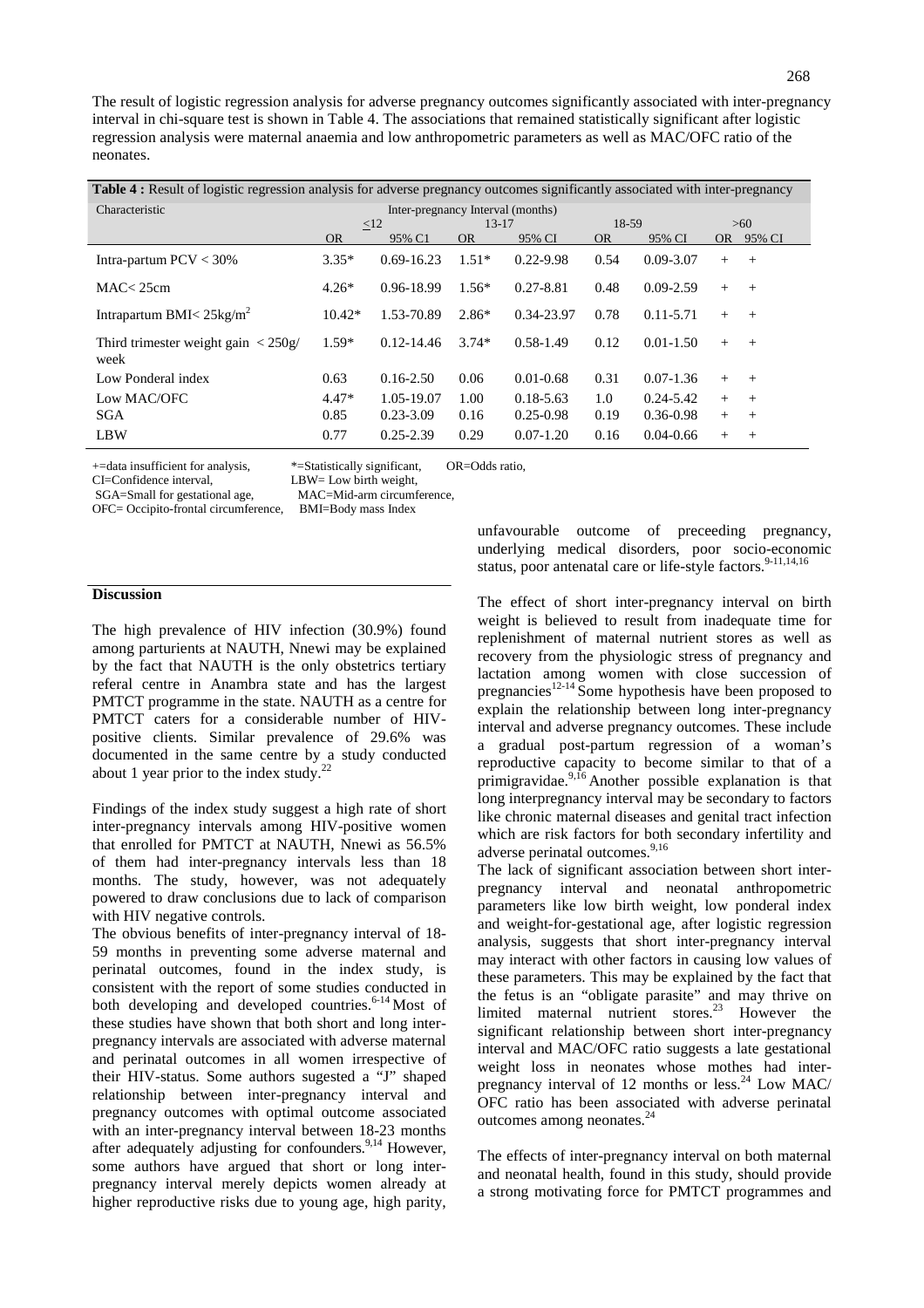| <b>Table 4</b> : Result of logistic regression analysis for adverse pregnancy outcomes significantly associated with inter-pregnancy |                                   |                |           |               |           |               |           |        |
|--------------------------------------------------------------------------------------------------------------------------------------|-----------------------------------|----------------|-----------|---------------|-----------|---------------|-----------|--------|
| Characteristic                                                                                                                       | Inter-pregnancy Interval (months) |                |           |               |           |               |           |        |
|                                                                                                                                      | $\leq$ 12                         |                | $13 - 17$ |               | 18-59     |               | >60       |        |
|                                                                                                                                      | <b>OR</b>                         | 95% C1         | <b>OR</b> | 95% CI        | <b>OR</b> | 95% CI        | <b>OR</b> | 95% CI |
| Intra-partum $PCV < 30\%$                                                                                                            | $3.35*$                           | $0.69 - 16.23$ | $1.51*$   | $0.22 - 9.98$ | 0.54      | $0.09 - 3.07$ | $^{+}$    | $+$    |
| MAC < 25cm                                                                                                                           | $4.26*$                           | 0.96-18.99     | $1.56*$   | $0.27 - 8.81$ | 0.48      | $0.09 - 2.59$ | $+$       | $+$    |
| Intrapartum BMI $<$ 25kg/m <sup>2</sup>                                                                                              | $10.42*$                          | 1.53-70.89     | $2.86*$   | 0.34-23.97    | 0.78      | $0.11 - 5.71$ | $+$       | $+$    |
| Third trimester weight gain $\langle 250g/$<br>week                                                                                  | $1.59*$                           | $0.12 - 14.46$ | $3.74*$   | $0.58 - 1.49$ | 0.12      | $0.01 - 1.50$ | $^{+}$    | $+$    |
| Low Ponderal index                                                                                                                   | 0.63                              | $0.16 - 2.50$  | 0.06      | $0.01 - 0.68$ | 0.31      | $0.07 - 1.36$ | $^{+}$    | $+$    |
| Low MAC/OFC                                                                                                                          | $4.47*$                           | 1.05-19.07     | 1.00      | $0.18 - 5.63$ | 1.0       | $0.24 - 5.42$ | $+$       | $+$    |
| <b>SGA</b>                                                                                                                           | 0.85                              | $0.23 - 3.09$  | 0.16      | $0.25 - 0.98$ | 0.19      | $0.36 - 0.98$ | $+$       | $+$    |
| <b>LBW</b>                                                                                                                           | 0.77                              | $0.25 - 2.39$  | 0.29      | $0.07 - 1.20$ | 0.16      | $0.04 - 0.66$ | $^{+}$    | $+$    |

+=data insufficient for analysis, \*=Statistically significant, OR=Odds ratio,

CI=Confidence interval, LBW= Low birth weight,

SGA=Small for gestational age, MAC=Mid-arm circumference,

OFC= Occipito-frontal circumference, BMI=Body mass Index

#### **Discussion**

The high prevalence of HIV infection (30.9%) found among parturients at NAUTH, Nnewi may be explained by the fact that NAUTH is the only obstetrics tertiary referal centre in Anambra state and has the largest PMTCT programme in the state. NAUTH as a centre for PMTCT caters for a considerable number of HIVpositive clients. Similar prevalence of 29.6% was documented in the same centre by a study conducted about 1 year prior to the index study.<sup>22</sup>

Findings of the index study suggest a high rate of short inter-pregnancy intervals among HIV-positive women that enrolled for PMTCT at NAUTH, Nnewi as 56.5% of them had inter-pregnancy intervals less than 18 months. The study, however, was not adequately powered to draw conclusions due to lack of comparison with HIV negative controls.

The obvious benefits of inter-pregnancy interval of 18- 59 months in preventing some adverse maternal and perinatal outcomes, found in the index study, is consistent with the report of some studies conducted in both developing and developed countries.<sup>6-14</sup> Most of these studies have shown that both short and long interpregnancy intervals are associated with adverse maternal and perinatal outcomes in all women irrespective of their HIV-status. Some authors sugested a "J" shaped relationship between inter-pregnancy interval and pregnancy outcomes with optimal outcome associated with an inter-pregnancy interval between 18-23 months after adequately adjusting for confounders.<sup>9,14</sup> However, some authors have argued that short or long interpregnancy interval merely depicts women already at higher reproductive risks due to young age, high parity,

unfavourable outcome of preceeding pregnancy, underlying medical disorders, poor socio-economic status, poor antenatal care or life-style factors.<sup>9-11,14,16</sup>

The effect of short inter-pregnancy interval on birth weight is believed to result from inadequate time for replenishment of maternal nutrient stores as well as recovery from the physiologic stress of pregnancy and lactation among women with close succession of pregnancies $12-14$  Some hypothesis have been proposed to explain the relationship between long inter-pregnancy interval and adverse pregnancy outcomes. These include a gradual post-partum regression of a woman's reproductive capacity to become similar to that of a primigravidae.<sup>9,16</sup> Another possible explanation is that long interpregnancy interval may be secondary to factors like chronic maternal diseases and genital tract infection which are risk factors for both secondary infertility and adverse perinatal outcomes.<sup>9,16</sup>

The lack of significant association between short interpregnancy interval and neonatal anthropometric parameters like low birth weight, low ponderal index and weight-for-gestational age, after logistic regression analysis, suggests that short inter-pregnancy interval may interact with other factors in causing low values of these parameters. This may be explained by the fact that the fetus is an "obligate parasite" and may thrive on limited maternal nutrient stores.<sup>23</sup> However the significant relationship between short inter-pregnancy interval and MAC/OFC ratio suggests a late gestational weight loss in neonates whose mothes had interpregnancy interval of 12 months or less.<sup>24</sup> Low MAC/ OFC ratio has been associated with adverse perinatal outcomes among neonates.<sup>24</sup>

The effects of inter-pregnancy interval on both maternal and neonatal health, found in this study, should provide a strong motivating force for PMTCT programmes and